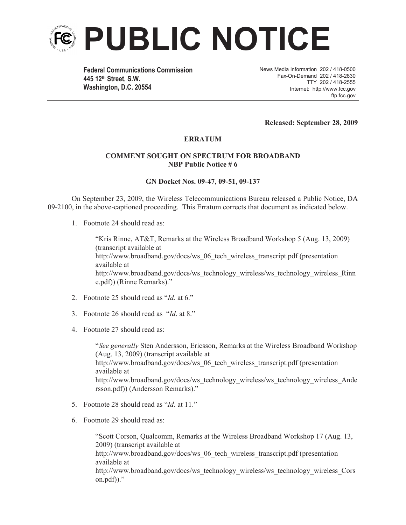

**Federal Communications Commission 445 12th Street, S.W. Washington, D.C. 20554**

News Media Information 202 / 418-0500 Fax-On-Demand 202 / 418-2830 TTY 202 / 418-2555 Internet: http://www.fcc.gov ftp.fcc.gov

**Released: September 28, 2009**

## **ERRATUM**

## **COMMENT SOUGHT ON SPECTRUM FOR BROADBAND NBP Public Notice # 6**

## **GN Docket Nos. 09-47, 09-51, 09-137**

On September 23, 2009, the Wireless Telecommunications Bureau released a Public Notice, DA 09-2100, in the above-captioned proceeding. This Erratum corrects that document as indicated below.

1. Footnote 24 should read as:

"Kris Rinne, AT&T, Remarks at the Wireless Broadband Workshop 5 (Aug. 13, 2009) (transcript available at http://www.broadband.gov/docs/ws\_06\_tech\_wireless\_transcript.pdf (presentation available at http://www.broadband.gov/docs/ws\_technology\_wireless/ws\_technology\_wireless\_Rinn e.pdf)) (Rinne Remarks)."

- 2. Footnote 25 should read as "*Id*. at 6."
- 3. Footnote 26 should read as "*Id*. at 8."
- 4. Footnote 27 should read as:

"*See generally* Sten Andersson, Ericsson, Remarks at the Wireless Broadband Workshop (Aug. 13, 2009) (transcript available at http://www.broadband.gov/docs/ws\_06\_tech\_wireless\_transcript.pdf (presentation available at http://www.broadband.gov/docs/ws\_technology\_wireless/ws\_technology\_wireless\_Ande rsson.pdf)) (Andersson Remarks)."

- 5. Footnote 28 should read as "*Id*. at 11."
- 6. Footnote 29 should read as:

"Scott Corson, Qualcomm, Remarks at the Wireless Broadband Workshop 17 (Aug. 13, 2009) (transcript available at http://www.broadband.gov/docs/ws\_06\_tech\_wireless\_transcript.pdf (presentation available at http://www.broadband.gov/docs/ws\_technology\_wireless/ws\_technology\_wireless\_Cors on.pdf))."